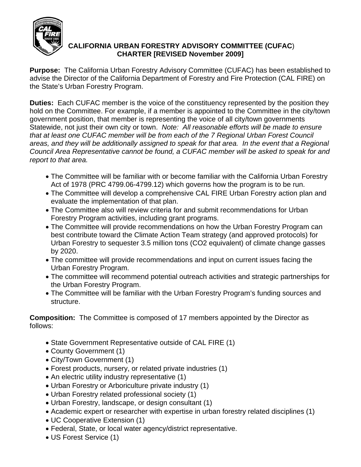

## **CALIFORNIA URBAN FORESTRY ADVISORY COMMITTEE (CUFAC**) **CHARTER [REVISED November 2009]**

**Purpose:** The California Urban Forestry Advisory Committee (CUFAC) has been established to advise the Director of the California Department of Forestry and Fire Protection (CAL FIRE) on the State's Urban Forestry Program.

**Duties:** Each CUFAC member is the voice of the constituency represented by the position they hold on the Committee. For example, if a member is appointed to the Committee in the city/town government position, that member is representing the voice of all city/town governments Statewide, not just their own city or town. *Note: All reasonable efforts will be made to ensure that at least one CUFAC member will be from each of the 7 Regional Urban Forest Council areas, and they will be additionally assigned to speak for that area. In the event that a Regional Council Area Representative cannot be found, a CUFAC member will be asked to speak for and report to that area.*

- The Committee will be familiar with or become familiar with the California Urban Forestry Act of 1978 (PRC 4799.06-4799.12) which governs how the program is to be run.
- The Committee will develop a comprehensive CAL FIRE Urban Forestry action plan and evaluate the implementation of that plan.
- The Committee also will review criteria for and submit recommendations for Urban Forestry Program activities, including grant programs.
- The Committee will provide recommendations on how the Urban Forestry Program can best contribute toward the Climate Action Team strategy (and approved protocols) for Urban Forestry to sequester 3.5 million tons (CO2 equivalent) of climate change gasses by 2020.
- The committee will provide recommendations and input on current issues facing the Urban Forestry Program.
- The committee will recommend potential outreach activities and strategic partnerships for the Urban Forestry Program.
- The Committee will be familiar with the Urban Forestry Program's funding sources and structure.

**Composition:** The Committee is composed of 17 members appointed by the Director as follows:

- State Government Representative outside of CAL FIRE (1)
- County Government (1)
- City/Town Government (1)
- Forest products, nursery, or related private industries (1)
- An electric utility industry representative (1)
- Urban Forestry or Arboriculture private industry (1)
- Urban Forestry related professional society (1)
- Urban Forestry, landscape, or design consultant (1)
- Academic expert or researcher with expertise in urban forestry related disciplines (1)
- UC Cooperative Extension (1)
- Federal, State, or local water agency/district representative.
- US Forest Service (1)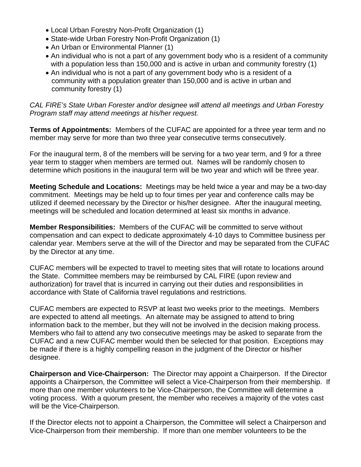- Local Urban Forestry Non-Profit Organization (1)
- State-wide Urban Forestry Non-Profit Organization (1)
- An Urban or Environmental Planner (1)
- An individual who is not a part of any government body who is a resident of a community with a population less than 150,000 and is active in urban and community forestry (1)
- An individual who is not a part of any government body who is a resident of a community with a population greater than 150,000 and is active in urban and community forestry (1)

*CAL FIRE's State Urban Forester and/or designee will attend all meetings and Urban Forestry Program staff may attend meetings at his/her request.* 

**Terms of Appointments:** Members of the CUFAC are appointed for a three year term and no member may serve for more than two three year consecutive terms consecutively.

For the inaugural term, 8 of the members will be serving for a two year term, and 9 for a three year term to stagger when members are termed out. Names will be randomly chosen to determine which positions in the inaugural term will be two year and which will be three year.

**Meeting Schedule and Locations:** Meetings may be held twice a year and may be a two-day commitment. Meetings may be held up to four times per year and conference calls may be utilized if deemed necessary by the Director or his/her designee.After the inaugural meeting, meetings will be scheduled and location determined at least six months in advance.

**Member Responsibilities:** Members of the CUFAC will be committed to serve without compensation and can expect to dedicate approximately 4-10 days to Committee business per calendar year. Members serve at the will of the Director and may be separated from the CUFAC by the Director at any time.

CUFAC members will be expected to travel to meeting sites that will rotate to locations around the State. Committee members may be reimbursed by CAL FIRE (upon review and authorization) for travel that is incurred in carrying out their duties and responsibilities in accordance with State of California travel regulations and restrictions.

CUFAC members are expected to RSVP at least two weeks prior to the meetings. Members are expected to attend all meetings. An alternate may be assigned to attend to bring information back to the member, but they will not be involved in the decision making process. Members who fail to attend any two consecutive meetings may be asked to separate from the CUFAC and a new CUFAC member would then be selected for that position. Exceptions may be made if there is a highly compelling reason in the judgment of the Director or his/her designee.

**Chairperson and Vice-Chairperson:** The Director may appoint a Chairperson. If the Director appoints a Chairperson, the Committee will select a Vice-Chairperson from their membership. If more than one member volunteers to be Vice-Chairperson, the Committee will determine a voting process. With a quorum present, the member who receives a majority of the votes cast will be the Vice-Chairperson.

If the Director elects not to appoint a Chairperson, the Committee will select a Chairperson and Vice-Chairperson from their membership. If more than one member volunteers to be the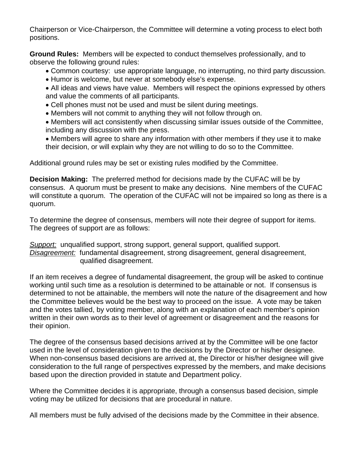Chairperson or Vice-Chairperson, the Committee will determine a voting process to elect both positions.

**Ground Rules:** Members will be expected to conduct themselves professionally, and to observe the following ground rules:

- Common courtesy: use appropriate language, no interrupting, no third party discussion.
- Humor is welcome, but never at somebody else's expense.
- All ideas and views have value. Members will respect the opinions expressed by others and value the comments of all participants.
- Cell phones must not be used and must be silent during meetings.
- Members will not commit to anything they will not follow through on.

 Members will act consistently when discussing similar issues outside of the Committee, including any discussion with the press.

 Members will agree to share any information with other members if they use it to make their decision, or will explain why they are not willing to do so to the Committee.

Additional ground rules may be set or existing rules modified by the Committee.

**Decision Making:** The preferred method for decisions made by the CUFAC will be by consensus. A quorum must be present to make any decisions. Nine members of the CUFAC will constitute a quorum. The operation of the CUFAC will not be impaired so long as there is a quorum.

To determine the degree of consensus, members will note their degree of support for items. The degrees of support are as follows:

*Support:* unqualified support, strong support, general support, qualified support. *Disagreement:* fundamental disagreement, strong disagreement, general disagreement, qualified disagreement.

If an item receives a degree of fundamental disagreement, the group will be asked to continue working until such time as a resolution is determined to be attainable or not. If consensus is determined to not be attainable, the members will note the nature of the disagreement and how the Committee believes would be the best way to proceed on the issue. A vote may be taken and the votes tallied, by voting member, along with an explanation of each member's opinion written in their own words as to their level of agreement or disagreement and the reasons for their opinion.

The degree of the consensus based decisions arrived at by the Committee will be one factor used in the level of consideration given to the decisions by the Director or his/her designee. When non-consensus based decisions are arrived at, the Director or his/her designee will give consideration to the full range of perspectives expressed by the members, and make decisions based upon the direction provided in statute and Department policy.

Where the Committee decides it is appropriate, through a consensus based decision, simple voting may be utilized for decisions that are procedural in nature.

All members must be fully advised of the decisions made by the Committee in their absence.